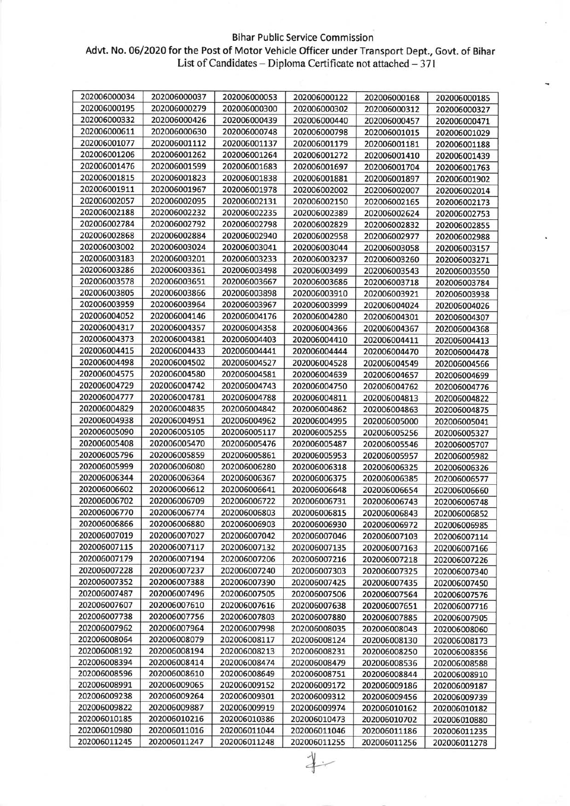## Bihar Public Service Commission

## Advt. No. 06/2020 for the Post of Motor Vehicle Officer under Transport Dept., Govt. of Bihar List of Candidates – Diploma Certificate not attached – 371

| 202006000034 | 202006000037 | 202006000053 | 202006000122 | 202006000168 | 202006000185 |
|--------------|--------------|--------------|--------------|--------------|--------------|
| 202006000195 | 202006000279 | 202006000300 | 202006000302 | 202006000312 | 202006000327 |
| 202006000332 | 202006000426 | 202006000439 | 202006000440 | 202006000457 | 202006000471 |
| 202006000611 | 202006000630 | 202006000748 | 202006000798 | 202006001015 | 202006001029 |
| 202006001077 | 202006001112 | 202006001137 | 202006001179 | 202006001181 | 202006001188 |
| 202006001206 | 202006001262 | 202006001264 | 202006001272 | 202006001410 | 202006001439 |
| 202006001476 | 202006001599 | 202006001683 | 202006001697 | 202006001704 | 202006001763 |
| 202006001815 | 202006001823 | 202006001838 | 202006001881 | 202006001897 | 202006001902 |
| 202006001911 | 202006001967 | 202006001978 | 202006002002 | 202006002007 | 202006002014 |
| 202006002057 | 202006002095 | 202006002131 | 202006002150 | 202006002165 | 202006002173 |
| 202006002188 | 202006002232 | 202006002235 | 202006002389 | 202006002624 | 202006002753 |
| 202006002784 | 202006002792 | 202006002798 | 202006002829 | 202006002832 | 202006002855 |
| 202006002868 | 202006002884 | 202006002940 | 202006002958 | 202006002977 | 202006002988 |
| 202006003002 | 202006003024 | 202006003041 | 202006003044 | 202006003058 | 202006003157 |
| 202006003183 | 202006003201 | 202006003233 | 202006003237 | 202006003260 | 202006003271 |
| 202006003286 | 202006003361 | 202006003498 | 202006003499 | 202006003543 | 202006003550 |
| 202006003578 | 202006003651 | 202006003667 | 202006003686 | 202006003718 | 202006003784 |
| 202006003805 | 202006003866 | 202006003898 | 202006003910 | 202006003921 | 202006003938 |
| 202006003959 | 202006003964 | 202006003967 | 202006003999 | 202006004024 | 202006004026 |
| 202006004052 | 202006004146 | 202006004176 | 202006004280 | 202006004301 | 202006004307 |
| 202006004317 | 202006004357 | 202006004358 | 202006004366 | 202006004367 | 202006004368 |
| 202006004373 | 202006004381 | 202006004403 | 202006004410 | 202006004411 | 202006004413 |
| 202006004415 | 202006004433 | 202006004441 | 202006004444 | 202006004470 | 202006004478 |
| 202006004498 | 202006004502 | 202006004527 | 202006004528 | 202006004549 | 202006004566 |
| 202006004575 | 202006004580 | 202006004581 | 202006004639 | 202006004657 | 202006004699 |
| 202006004729 | 202006004742 | 202006004743 | 202006004750 | 202006004762 | 202006004776 |
| 202006004777 | 202006004781 | 202006004788 | 202006004811 | 202006004813 | 202006004822 |
| 202006004829 | 202006004835 | 202006004842 | 202006004862 | 202006004863 | 202006004875 |
| 202006004938 | 202006004951 | 202006004962 | 202006004995 | 202006005000 | 202006005041 |
| 202006005090 | 202006005105 | 202006005117 | 202006005255 | 202006005256 | 202006005327 |
| 202006005408 | 202006005470 | 202006005476 | 202006005487 | 202006005546 | 202006005707 |
| 202006005796 | 202006005859 | 202006005861 | 202006005953 | 202006005957 | 202006005982 |
| 202006005999 | 202006006080 | 202006006280 | 202006006318 | 202006006325 | 202006006326 |
| 202006006344 | 202006006364 | 202006006367 | 202006006375 | 202006006385 | 202006006577 |
| 202006006602 | 202006006612 | 202006006641 | 202006006648 | 202006006654 | 202006006660 |
| 202006006702 | 202006006709 | 202006006722 | 202006006731 | 202006006743 | 202006006748 |
| 202006006770 | 202006006774 | 202006006803 | 202006006815 | 202006006843 | 202006006852 |
| 202006006866 | 202006006880 | 202006006903 | 202006006930 | 202006006972 | 202006006985 |
| 202006007019 | 202006007027 | 202006007042 | 202006007046 | 202006007103 | 202006007114 |
| 202006007115 | 202006007117 | 202006007132 | 202006007135 | 202006007163 | 202006007166 |
| 202006007179 | 202006007194 | 202006007206 | 202006007216 | 202006007218 | 202006007226 |
| 202006007228 | 202006007237 | 202006007240 | 202006007303 | 202006007325 | 202006007340 |
| 202006007352 | 202006007388 | 202006007390 | 202006007425 | 202006007435 | 202006007450 |
| 202006007487 | 202006007496 | 202006007505 | 202006007506 | 202006007564 | 202006007576 |
| 202006007607 | 202006007610 | 202006007616 | 202006007638 | 202006007651 | 202006007716 |
| 202006007738 | 202006007756 | 202006007803 | 202006007880 | 202006007885 | 202006007905 |
| 202006007962 | 202006007964 | 202006007998 | 202006008035 | 202006008043 | 202006008060 |
| 202006008064 | 202006008079 | 202006008117 | 202006008124 | 202006008130 | 202006008173 |
| 202006008192 | 202006008194 | 202006008213 | 202006008231 | 202006008250 | 202006008356 |
| 202006008394 | 202006008414 | 202006008474 | 202006008479 | 202006008536 | 202006008588 |
| 202006008596 | 202006008610 | 202006008649 | 202006008751 | 202006008844 | 202006008910 |
| 202006008991 | 202006009065 | 202006009152 | 202006009172 | 202006009186 | 202006009187 |
| 202006009238 | 202006009264 | 202006009301 | 202006009312 | 202006009456 | 202006009739 |
| 202006009822 | 202006009887 | 202006009919 | 202006009974 | 202006010162 | 202006010182 |
| 202006010185 | 202006010216 | 202006010386 | 202006010473 | 202006010702 | 202006010880 |
| 202006010980 | 202006011016 | 202006011044 | 202006011046 | 202006011186 | 202006011235 |
| 202006011245 | 202006011247 | 202006011248 | 202006011255 | 202006011256 | 202006011278 |

 $4-$